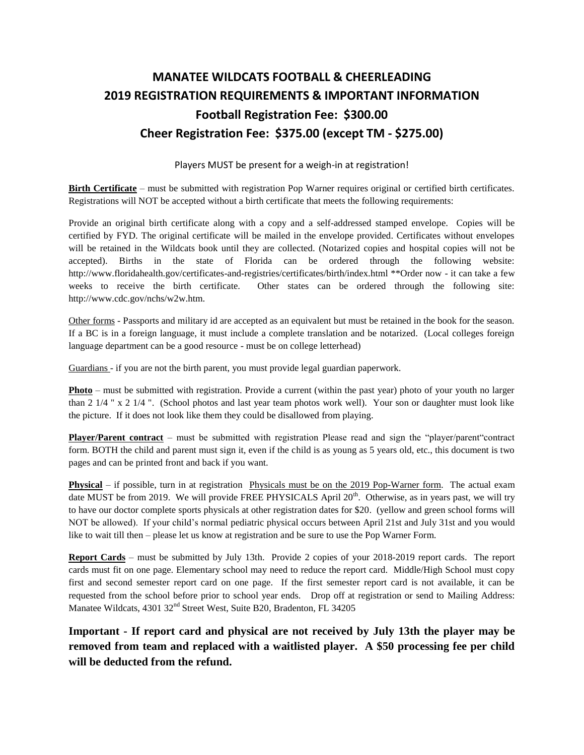## **MANATEE WILDCATS FOOTBALL & CHEERLEADING 2019 REGISTRATION REQUIREMENTS & IMPORTANT INFORMATION Football Registration Fee: \$300.00 Cheer Registration Fee: \$375.00 (except TM - \$275.00)**

## Players MUST be present for a weigh-in at registration!

**Birth Certificate** – must be submitted with registration Pop Warner requires original or certified birth certificates. Registrations will NOT be accepted without a birth certificate that meets the following requirements:

Provide an original birth certificate along with a copy and a self-addressed stamped envelope. Copies will be certified by FYD. The original certificate will be mailed in the envelope provided. Certificates without envelopes will be retained in the Wildcats book until they are collected. (Notarized copies and hospital copies will not be accepted). Births in the state of Florida can be ordered through the following website: http://www.floridahealth.gov/certificates-and-registries/certificates/birth/index.html \*\*Order now - it can take a few weeks to receive the birth certificate. Other states can be ordered through the following site: http://www.cdc.gov/nchs/w2w.htm.

Other forms - Passports and military id are accepted as an equivalent but must be retained in the book for the season. If a BC is in a foreign language, it must include a complete translation and be notarized. (Local colleges foreign language department can be a good resource - must be on college letterhead)

Guardians - if you are not the birth parent, you must provide legal guardian paperwork.

**Photo** – must be submitted with registration. Provide a current (within the past year) photo of your youth no larger than 2 1/4 " x 2 1/4 ". (School photos and last year team photos work well). Your son or daughter must look like the picture. If it does not look like them they could be disallowed from playing.

**Player/Parent contract** – must be submitted with registration Please read and sign the "player/parent"contract form. BOTH the child and parent must sign it, even if the child is as young as 5 years old, etc., this document is two pages and can be printed front and back if you want.

**Physical** – if possible, turn in at registration Physicals must be on the 2019 Pop-Warner form. The actual exam date MUST be from 2019. We will provide FREE PHYSICALS April 20<sup>th</sup>. Otherwise, as in years past, we will try to have our doctor complete sports physicals at other registration dates for \$20. (yellow and green school forms will NOT be allowed). If your child's normal pediatric physical occurs between April 21st and July 31st and you would like to wait till then – please let us know at registration and be sure to use the Pop Warner Form.

**Report Cards** – must be submitted by July 13th. Provide 2 copies of your 2018-2019 report cards. The report cards must fit on one page. Elementary school may need to reduce the report card. Middle/High School must copy first and second semester report card on one page. If the first semester report card is not available, it can be requested from the school before prior to school year ends. Drop off at registration or send to Mailing Address: Manatee Wildcats, 4301 32<sup>nd</sup> Street West, Suite B20, Bradenton, FL 34205

**Important - If report card and physical are not received by July 13th the player may be removed from team and replaced with a waitlisted player. A \$50 processing fee per child will be deducted from the refund.**